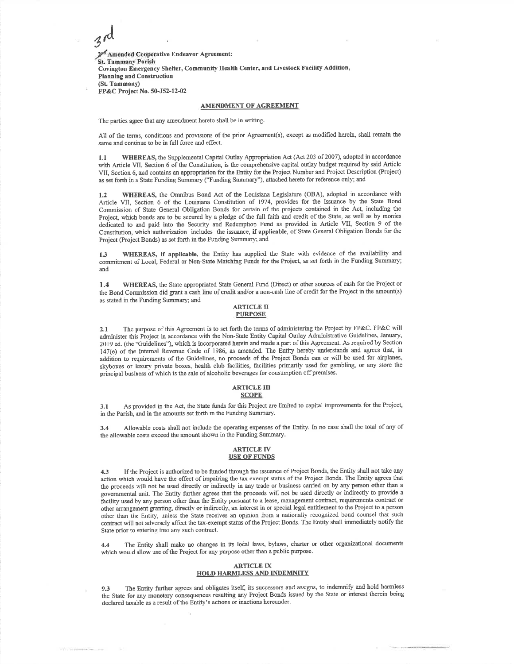2<sup>pd</sup> Amended Cooperative Endeavor Agreement: St. Tammany Parish 9'. Covington Emergency Shelter, Community Health Center, and Livestock Facility Addition' Planning and Construction (SL Tammany)FP&C Project No. 50-J52-12-02

### AMENDMENT OF AGREEMENT

The parties agree that any amendment hereto shall be in writing.

.A

All of the terms, conditions and provisions of the prior Agreement(s), except as modified herein, shall remain the same and continue to be in full force and effect.

1.1 WHEREAS, the Supplemental Capital Outlay Appropriation Act (Act 203 of 2007), adopted in accordance with Article VII, Section 6 ofthe Constitution, is the comprehensive capital outlay budget required by said Article VII, Section 6, and contains an appropriation for the Entity for the Project Number and Project Description (Project) as set forth in a State Funding Sumnary ("Funding Summary"), attached hereto for reference only; and

1.2 WHEREAS, the Omnibus Bond Act of the Louisiana Legislature (OBA), adopted in accordance with Article VII, Section 6 of the Louisiana Constitution of 1974, provides for the issuance by the State Bond Commission of Stale General Obligation Bonds for certain of the projects contained in the Act, including theProject, which bonds are to be secured by a pledge of the full faith and credit of the State, as well as by monies dedicated to and paid into the Security and Redemption Fund as provided in Article VII, Section 9 of the Constitption, which authorization includes the issuance, if applicable, of State General Obligation Bonds for theProject @roject Bonds) as set forth in the Funding Summary; and

1.3 WHEREAS, if applicable, the Entity has supplied the State with evidence of the availability and commifinent of Local, Federal or Non-State Matching Funds for the Projecl as set forth in the Funding Summary; and

1.4 WHEREAS, the State appropriated State General Fund (Direct) or other sources of cash for the Project or the Bond Commission did grant a cash line of credit and/or a non-cash line of credit for the Project in the amount(s) as stated in the Funding Summary; and

## ARTICLE IIPI'RPOSE

2.1 The purpose of this Agreement is to set forth the terms of administering the Project by FP&C. FP&C will administer this Project in accordance with the Non-State Entity Capital Outlay Administrative Guideiines, January, 2019 ed. (the "Guidelines"), which is incorporated herein and made a part of this Agreement. As required by Section '147(e) of the Intemal Revenue Code of 1986, as amended. The Entity hereby understands and agrees that, inaddition to requirements of the Guidelines, no proceeds of the Project Bonds can or will be used for airplanes skyboxes or luxury private boxes, health club facilities, facilities primarily used for gambling, or any store the principal business of which is the sale of alcoholic beverages for consumption off premises.

### ARTICLE III**SCOPE**

3.1 As provided in the Act, the State funds for this Project are limited to capital improvements for the Project in the Parish, and in the amounts set forth in the Funding Summary.

3.4 Allowable costs shall not include the operating expenses of the Entity. In no case shall the total of any of the allowable costs exceed the amount shown in the Funding Summary.

### ARTICLE IV<u>USE OF FUNDS</u>

4.3 If the Project is authorized to be funded through the issuance of Project Bonds, the Entity shall not take any action which would have the effect of impairing the tax exempt status of the Project Bonds. The Entity agrees that the proceeds will not be used directly or indirectly in any tade or business carried on by any person other than <sup>a</sup> govemmental unit. The Entity fruther agrees that the proceeds will not be used directly or indirectly to provide <sup>a</sup> facility used by any person other than the Entity pursuant to a lease, management contract requirements contract or other arrangement granting, directly or indirectly, an interest in or special legal entitlement to the Project to a person other than rhe Entiry, unless the State receives an opinion from a narionally reoognized bond counsel thar suchcontract will not adversely affect the tax-exempt status of the Project Bonds. The Entity shall immediately notify the State prior to entering into any such contract.

4.4 The Entity shall make no changes in its local laws, bylaws, charter or other organizational documents which would allow use of the Project for any purpose other than a public purpose.

## ARTICLE IXHOLD IIARMLESS AND INDEMNITY

9.3 The Entity further agrees and obligates itself, its successors and assigns, to indemnify and hold harmless the State for any monetary consequences resulting any Project Bonds issued by the State or interest therein beingdeclared taxable as a result of the Entity's actions or inactions hereunder.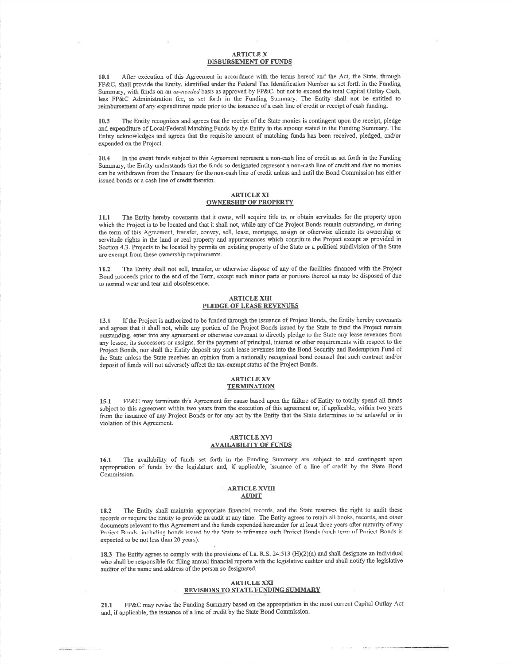# ARTICLE XDISBURSEMENT OF FUNDS

10.1 After execution of this Agreement in accordance with the terms hereof and the Act, the State, through FP&C, shall provide the Entity, identified under the Federal Tax Identification Number as set forth in the FundingSummary, with funds on an *as-needed* basis as approved by FP&C, but not to exceed the total Capital Outlay Cash, less FP&C Administation fee, as set forth in the Funding Summary. The Entity shall not be entitled toreimbursement of any expenditures made prior to the issuance of a cash line of credit or receipt of cash funding.

10.3 The Entity recognizes and agrees that the receipt of the State monies is contingent upon the receipt, pledge and expenditure of Local./Federal Matching Funds by the Entity in the amount stated in the Funding Summary. The Entity aclnowledges and agrees that the requisite amount of matching ftmds has been received, pledged, and/orexpended on the Project.

10.4 In the event firnds subject to this Agreement represent a non-cash line of credit as set forth in the FundingSummary, the Entity understands that the funds so designated represent a non-cash line of credit and that no monies can be withdrawn from the Treasury for the non-cash line of credit uniess and until the Bond Commission has eitherissued bonds or a cash line of credit therefor.

# ARTICLE XIOWNERSHIP OF PROPERTY

Il.l The Entity hereby covenants that it owns, will acquire title to, or obtain servitudes for the property uponwhich the Project is to be located and that it shall not, while any of the Project Bonds remain outstanding, or during the term of this Agreement, transfer, convey, sell, lease, mortgage, assign or otherwise alienate its ownership orservitude rights in the land or real property and appurtenances which constitute the Project except as provided in Section 4.3. Projects to be located by permits on existing property of the State or a political subdivision of the State are exempt fiom these ownership requirements.

11.2 The Entity shall not sell, transfer, or otherwise dispose of any of the facilities financed with the Project Bond proceeds prior to the end of the Tern, except such minor parts or portions thereof as may be disposed of dueto nomal wear and tear and obsolescence.

## ARTICLE XIIIPLEDGE OF LEASE REVENUES

l3.t If the Project is authorized to be funded through the issuance of Project Bonds, the Entity hereby covenantsand agrees that it shall not, while any portion of the Project Bonds issued by the State to fund the Project remain outstanding, enter into any agreement or otherwise covenant to directly pledge to the State any lease revenues from any lessee, its successors or assigns, for the payment of principal, interest or other requirements with respect to the Project Bonds, nor shall the Entity deposit any such lease revenues into the Bond Security and Redemption Fund of the State unless the State receives an opinion from a nationally recognized bond counsel that such contract and/or deposit of funds will not adversely affect the tax-exempt status of the Project Bonds.

#### ARTICLE XVTERMINATION

15.1 FP&C may terminate this Agreement for cause based upon the failure of Entity to totally spend all funds subject to this agreement within two years from the execution of this agreement or, if applicable, within two years from the issuance of any Project Bonds or for any act by the Entity that the State determines to be unlawful or in violation of this Agreement.

### ARTICLE XVIAVAILABILITY OF FUNDS

l6.t The availability of fimds set forth in the Funding Summary are subject to and contingent upon appropriation of funds by the legislature and, if applicable, issuance of a line of credit by the State BondCommission.

#### ARTICLE XVINAUDIT

18.2 The Entity shall maintain appropriate financial records, and the State reserves the right to audit theserecords or require the Entity to provide an audit at any time. The Entity agrees to retain all books, records, and other documents relevant to this Agreement and the funds expended herermder for at least three years after maturity of anyProject Ronds including honds issued by the State to refinance such Proiect Bonds (such term of Proiect Bonds is expected to be not less than 20 years).

18.3 The Entity agrees to comply with the provisions of La. R.S. 24:513 (H)(2)(a) and shall designate an individua who shall be responsible for filing annual financial reports with the legislative auditor and shall notify the legislative auditor of the name and address of the person so designated.

### **ARTICLE XXI REVISIONS TO STATE FUNDING SUMMARY**

21.1 FP&C may revise the Funding Summary based on the appropriation in the most current Capital Outlay Act and, if applicable, the issuance of a line of credit by the State Bond Commission.